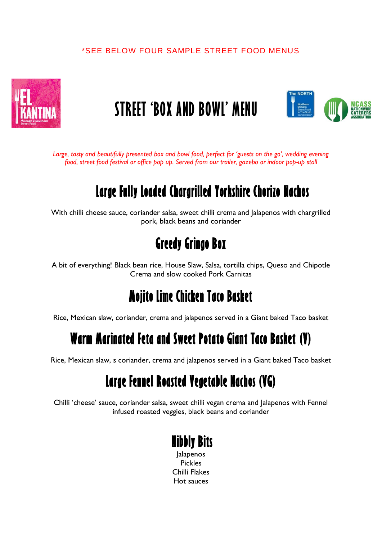#### \*SEE BELOW FOUR SAMPLE STREET FOOD MENUS



# **STREET 'BOX AND BOWL' MENU**



*Large, tasty and beautifully presented box and bowl food, perfect for 'guests on the go', wedding evening food, street food festival or office pop up. Served from our trailer, gazebo or indoor pop-up stall*

# **Large Fully Loaded Chargrilled Yorkshire Chorizo Nachos**

With chilli cheese sauce, coriander salsa, sweet chilli crema and Jalapenos with chargrilled pork, black beans and coriander

## **Greedy Gringo Box**

A bit of everything! Black bean rice, House Slaw, Salsa, tortilla chips, Queso and Chipotle Crema and slow cooked Pork Carnitas

## **Mojito Lime Chicken Taco Basket**

Rice, Mexican slaw, coriander, crema and jalapenos served in a Giant baked Taco basket

## **Warm Marinated Feta and Sweet Potato Giant Taco Basket (V)**

Rice, Mexican slaw, s coriander, crema and jalapenos served in a Giant baked Taco basket

## **Large Fennel Roasted Vegetable Nachos (VG)**

Chilli 'cheese' sauce, coriander salsa, sweet chilli vegan crema and Jalapenos with Fennel infused roasted veggies, black beans and coriander

#### **Nibbly Bits** Jalapenos

Pickles Chilli Flakes Hot sauces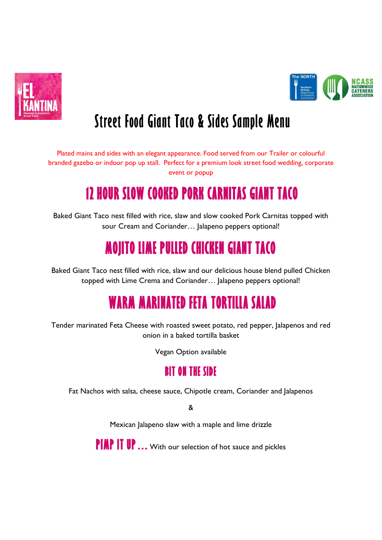



# **Street Food Giant Taco & Sides Sample Menu**

Plated mains and sides with an elegant appearance. Food served from our Trailer or colourful branded gazebo or indoor pop up stall. Perfect for a premium look street food wedding, corporate event or popup

# **12 HOUR SLOW COOKED PORK CARNITAS GIANT TACO**

Baked Giant Taco nest filled with rice, slaw and slow cooked Pork Carnitas topped with sour Cream and Coriander... Jalapeno peppers optional!

# **MOJITO LIME PULLED CHICKEN GIANT TACO**

Baked Giant Taco nest filled with rice, slaw and our delicious house blend pulled Chicken topped with Lime Crema and Coriander… Jalapeno peppers optional!

# **WARM MARINATED FETA TORTILLA SALAD**

Tender marinated Feta Cheese with roasted sweet potato, red pepper, Jalapenos and red onion in a baked tortilla basket

Vegan Option available

#### **BIT ON THE SIDE**

Fat Nachos with salsa, cheese sauce, Chipotle cream, Coriander and Jalapenos

&

Mexican Jalapeno slaw with a maple and lime drizzle

**PIMP IT UP…**With our selection of hot sauce and pickles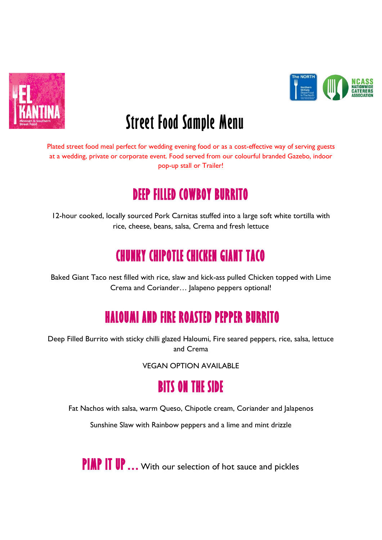



# **Street Food Sample Menu**

Plated street food meal perfect for wedding evening food or as a cost-effective way of serving guests at a wedding, private or corporate event. Food served from our colourful branded Gazebo, indoor pop-up stall or Trailer!

# **DEEP FILLED COWBOY BURRITO**

12-hour cooked, locally sourced Pork Carnitas stuffed into a large soft white tortilla with rice, cheese, beans, salsa, Crema and fresh lettuce

# **CHUNKY CHIPOTLE CHICKEN GIANT TACO**

Baked Giant Taco nest filled with rice, slaw and kick-ass pulled Chicken topped with Lime Crema and Coriander… Jalapeno peppers optional!

# **HALOUMI AND FIRE ROASTED PEPPER BURRITO**

Deep Filled Burrito with sticky chilli glazed Haloumi, Fire seared peppers, rice, salsa, lettuce and Crema

VEGAN OPTION AVAILABLE

### **BITS ON THE SIDE**

Fat Nachos with salsa, warm Queso, Chipotle cream, Coriander and Jalapenos

Sunshine Slaw with Rainbow peppers and a lime and mint drizzle

**PIMP IT UP…**With our selection of hot sauce and pickles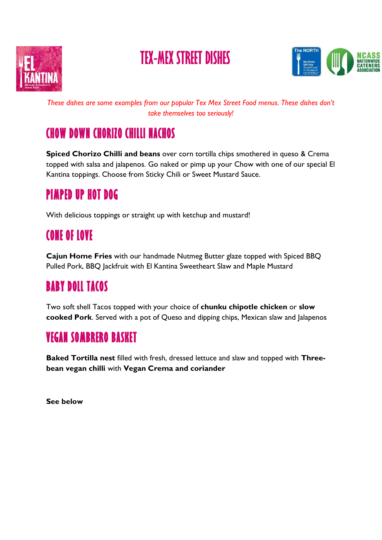

# **TEX-MEX STREET DISHES**



*These dishes are some examples from our popular Tex Mex Street Food menus. These dishes don't take themselves too seriously!*

### **CHOW DOWN CHORIZO CHILLI NACHOS**

**Spiced Chorizo Chilli and beans** over corn tortilla chips smothered in queso & Crema topped with salsa and jalapenos. Go naked or pimp up your Chow with one of our special El Kantina toppings. Choose from Sticky Chili or Sweet Mustard Sauce.

## **PIMPED UP HOT DOG**

With delicious toppings or straight up with ketchup and mustard!

#### **CONE OF LOVE**

**Cajun Home Fries** with our handmade Nutmeg Butter glaze topped with Spiced BBQ Pulled Pork, BBQ Jackfruit with El Kantina Sweetheart Slaw and Maple Mustard

# **BABY DOLL TACOS**

Two soft shell Tacos topped with your choice of **chunku chipotle chicken** or **slow cooked Pork**. Served with a pot of Queso and dipping chips, Mexican slaw and Jalapenos

#### **VEGAN SOMBRERO BASKET**

**Baked Tortilla nest** filled with fresh, dressed lettuce and slaw and topped with **Threebean vegan chilli** with **Vegan Crema and coriander**

**See below**